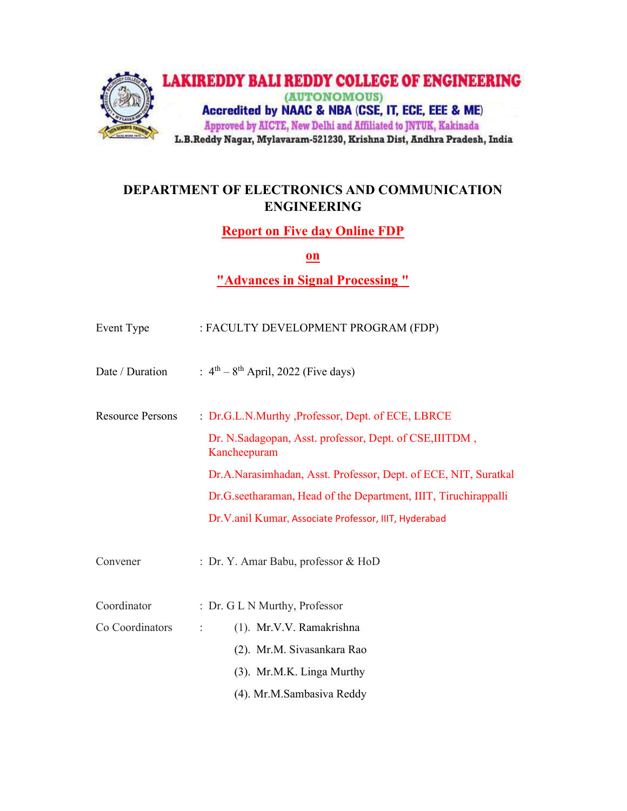

# DEPARTMENT OF ELECTRONICS AND COMMUNICATION ENGINEERING

Report on Five day Online FDP

on

"Advances in Signal Processing "

| Event Type              | : FACULTY DEVELOPMENT PROGRAM (FDP)                                     |
|-------------------------|-------------------------------------------------------------------------|
| Date / Duration         | : $4^{\text{th}} - 8^{\text{th}}$ April, 2022 (Five days)               |
| <b>Resource Persons</b> | : Dr.G.L.N.Murthy , Professor, Dept. of ECE, LBRCE                      |
|                         | Dr. N.Sadagopan, Asst. professor, Dept. of CSE, IIITDM,<br>Kancheepuram |
|                         | Dr.A.Narasimhadan, Asst. Professor, Dept. of ECE, NIT, Suratkal         |
|                         | Dr.G.seetharaman, Head of the Department, IIIT, Tiruchirappalli         |
|                         | Dr.V.anil Kumar, Associate Professor, IIIT, Hyderabad                   |
| Convener                | : Dr. Y. Amar Babu, professor & HoD                                     |
| Coordinator             | : Dr. G L N Murthy, Professor                                           |
| Co Coordinators         | (1). Mr.V.V. Ramakrishna<br>÷                                           |
|                         | (2). Mr.M. Sivasankara Rao                                              |
|                         | (3). Mr.M.K. Linga Murthy                                               |
|                         | (4). Mr.M.Sambasiva Reddy                                               |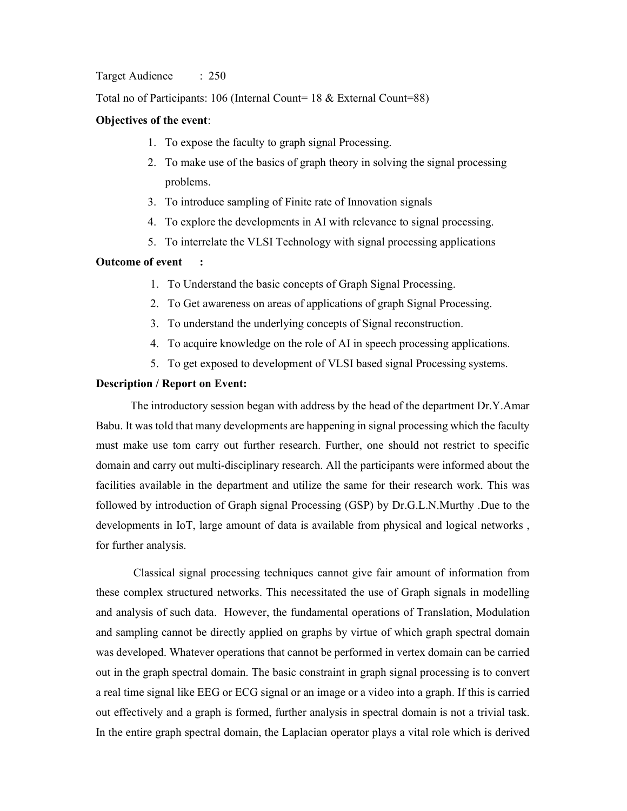#### Target Audience : 250

Total no of Participants: 106 (Internal Count= 18 & External Count=88)

## Objectives of the event:

- 1. To expose the faculty to graph signal Processing.
- 2. To make use of the basics of graph theory in solving the signal processing problems.
- 3. To introduce sampling of Finite rate of Innovation signals
- 4. To explore the developments in AI with relevance to signal processing.
- 5. To interrelate the VLSI Technology with signal processing applications

### Outcome of event :

- 1. To Understand the basic concepts of Graph Signal Processing.
- 2. To Get awareness on areas of applications of graph Signal Processing.
- 3. To understand the underlying concepts of Signal reconstruction.
- 4. To acquire knowledge on the role of AI in speech processing applications.
- 5. To get exposed to development of VLSI based signal Processing systems.

### Description / Report on Event:

The introductory session began with address by the head of the department Dr.Y.Amar Babu. It was told that many developments are happening in signal processing which the faculty must make use tom carry out further research. Further, one should not restrict to specific domain and carry out multi-disciplinary research. All the participants were informed about the facilities available in the department and utilize the same for their research work. This was followed by introduction of Graph signal Processing (GSP) by Dr.G.L.N.Murthy .Due to the developments in IoT, large amount of data is available from physical and logical networks , for further analysis.

 Classical signal processing techniques cannot give fair amount of information from these complex structured networks. This necessitated the use of Graph signals in modelling and analysis of such data. However, the fundamental operations of Translation, Modulation and sampling cannot be directly applied on graphs by virtue of which graph spectral domain was developed. Whatever operations that cannot be performed in vertex domain can be carried out in the graph spectral domain. The basic constraint in graph signal processing is to convert a real time signal like EEG or ECG signal or an image or a video into a graph. If this is carried out effectively and a graph is formed, further analysis in spectral domain is not a trivial task. In the entire graph spectral domain, the Laplacian operator plays a vital role which is derived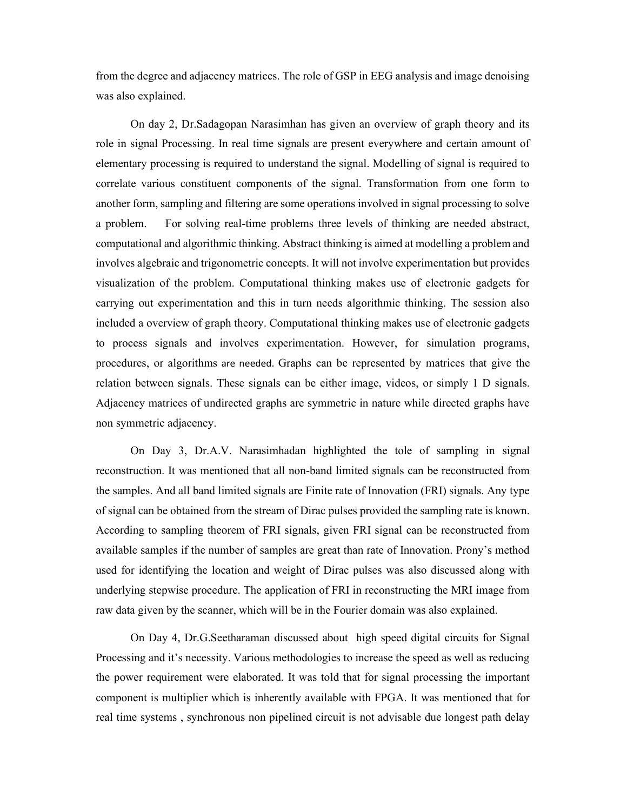from the degree and adjacency matrices. The role of GSP in EEG analysis and image denoising was also explained.

On day 2, Dr.Sadagopan Narasimhan has given an overview of graph theory and its role in signal Processing. In real time signals are present everywhere and certain amount of elementary processing is required to understand the signal. Modelling of signal is required to correlate various constituent components of the signal. Transformation from one form to another form, sampling and filtering are some operations involved in signal processing to solve a problem. For solving real-time problems three levels of thinking are needed abstract, computational and algorithmic thinking. Abstract thinking is aimed at modelling a problem and involves algebraic and trigonometric concepts. It will not involve experimentation but provides visualization of the problem. Computational thinking makes use of electronic gadgets for carrying out experimentation and this in turn needs algorithmic thinking. The session also included a overview of graph theory. Computational thinking makes use of electronic gadgets to process signals and involves experimentation. However, for simulation programs, procedures, or algorithms are needed. Graphs can be represented by matrices that give the relation between signals. These signals can be either image, videos, or simply 1 D signals. Adjacency matrices of undirected graphs are symmetric in nature while directed graphs have non symmetric adjacency.

On Day 3, Dr.A.V. Narasimhadan highlighted the tole of sampling in signal reconstruction. It was mentioned that all non-band limited signals can be reconstructed from the samples. And all band limited signals are Finite rate of Innovation (FRI) signals. Any type of signal can be obtained from the stream of Dirac pulses provided the sampling rate is known. According to sampling theorem of FRI signals, given FRI signal can be reconstructed from available samples if the number of samples are great than rate of Innovation. Prony's method used for identifying the location and weight of Dirac pulses was also discussed along with underlying stepwise procedure. The application of FRI in reconstructing the MRI image from raw data given by the scanner, which will be in the Fourier domain was also explained.

On Day 4, Dr.G.Seetharaman discussed about high speed digital circuits for Signal Processing and it's necessity. Various methodologies to increase the speed as well as reducing the power requirement were elaborated. It was told that for signal processing the important component is multiplier which is inherently available with FPGA. It was mentioned that for real time systems , synchronous non pipelined circuit is not advisable due longest path delay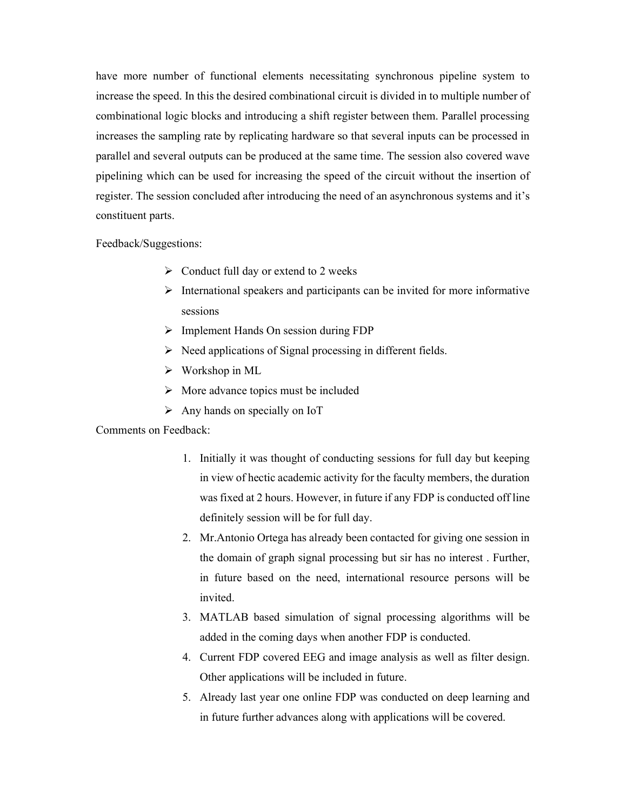have more number of functional elements necessitating synchronous pipeline system to increase the speed. In this the desired combinational circuit is divided in to multiple number of combinational logic blocks and introducing a shift register between them. Parallel processing increases the sampling rate by replicating hardware so that several inputs can be processed in parallel and several outputs can be produced at the same time. The session also covered wave pipelining which can be used for increasing the speed of the circuit without the insertion of register. The session concluded after introducing the need of an asynchronous systems and it's constituent parts.

Feedback/Suggestions:

- $\triangleright$  Conduct full day or extend to 2 weeks
- $\triangleright$  International speakers and participants can be invited for more informative sessions
- $\triangleright$  Implement Hands On session during FDP
- $\triangleright$  Need applications of Signal processing in different fields.
- $\triangleright$  Workshop in ML
- $\triangleright$  More advance topics must be included
- $\triangleright$  Any hands on specially on IoT

## Comments on Feedback:

- 1. Initially it was thought of conducting sessions for full day but keeping in view of hectic academic activity for the faculty members, the duration was fixed at 2 hours. However, in future if any FDP is conducted off line definitely session will be for full day.
- 2. Mr.Antonio Ortega has already been contacted for giving one session in the domain of graph signal processing but sir has no interest . Further, in future based on the need, international resource persons will be invited.
- 3. MATLAB based simulation of signal processing algorithms will be added in the coming days when another FDP is conducted.
- 4. Current FDP covered EEG and image analysis as well as filter design. Other applications will be included in future.
- 5. Already last year one online FDP was conducted on deep learning and in future further advances along with applications will be covered.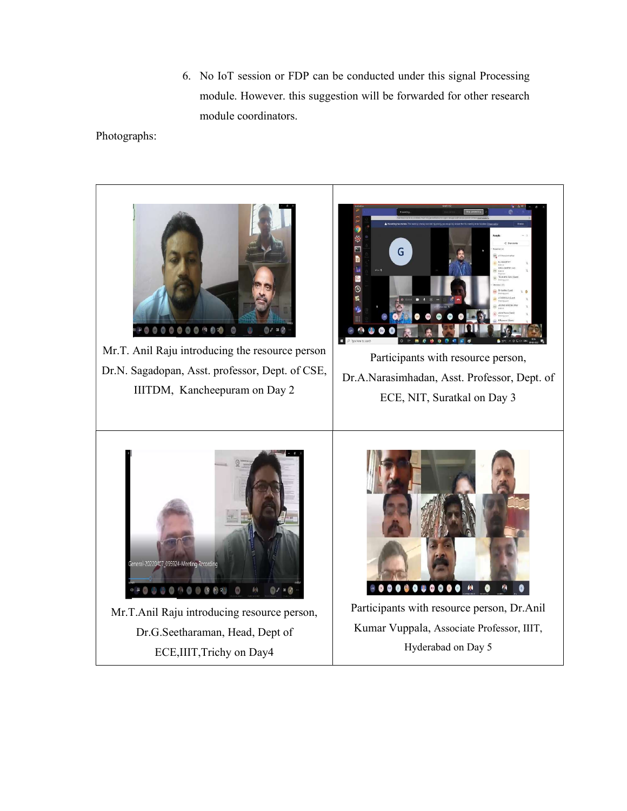6. No IoT session or FDP can be conducted under this signal Processing module. However. this suggestion will be forwarded for other research module coordinators.

Photographs: